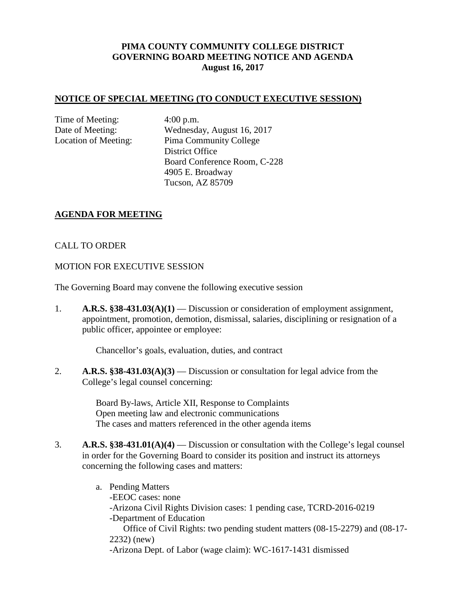# **PIMA COUNTY COMMUNITY COLLEGE DISTRICT GOVERNING BOARD MEETING NOTICE AND AGENDA August 16, 2017**

### **NOTICE OF SPECIAL MEETING (TO CONDUCT EXECUTIVE SESSION)**

Time of Meeting: 4:00 p.m.

Date of Meeting: Wednesday, August 16, 2017 Location of Meeting: Pima Community College District Office Board Conference Room, C-228 4905 E. Broadway Tucson, AZ 85709

### **AGENDA FOR MEETING**

### CALL TO ORDER

#### MOTION FOR EXECUTIVE SESSION

The Governing Board may convene the following executive session

1. **A.R.S. §38-431.03(A)(1)** — Discussion or consideration of employment assignment, appointment, promotion, demotion, dismissal, salaries, disciplining or resignation of a public officer, appointee or employee:

Chancellor's goals, evaluation, duties, and contract

2. **A.R.S. §38-431.03(A)(3)** — Discussion or consultation for legal advice from the College's legal counsel concerning:

> Board By-laws, Article XII, Response to Complaints Open meeting law and electronic communications The cases and matters referenced in the other agenda items

- 3. **A.R.S. §38-431.01(A)(4)** Discussion or consultation with the College's legal counsel in order for the Governing Board to consider its position and instruct its attorneys concerning the following cases and matters:
	- a. Pending Matters -EEOC cases: none -Arizona Civil Rights Division cases: 1 pending case, TCRD-2016-0219 -Department of Education Office of Civil Rights: two pending student matters (08-15-2279) and (08-17- 2232) (new) -Arizona Dept. of Labor (wage claim): WC-1617-1431 dismissed